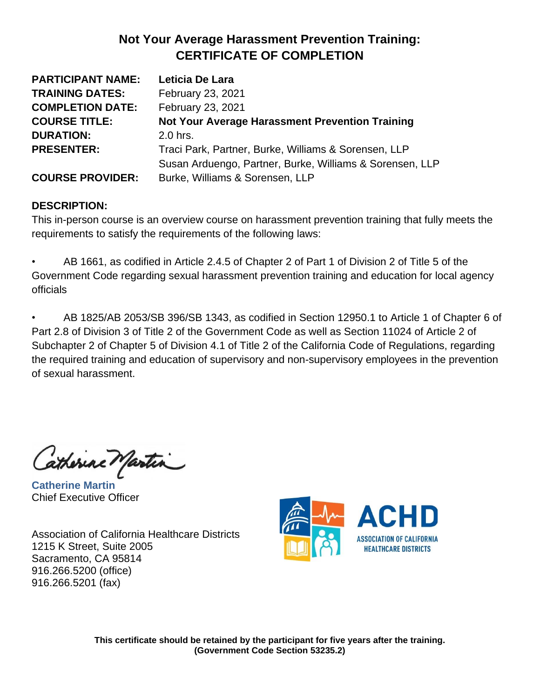| <b>PARTICIPANT NAME:</b> | Leticia De Lara                                          |
|--------------------------|----------------------------------------------------------|
| <b>TRAINING DATES:</b>   | February 23, 2021                                        |
| <b>COMPLETION DATE:</b>  | February 23, 2021                                        |
| <b>COURSE TITLE:</b>     | <b>Not Your Average Harassment Prevention Training</b>   |
| <b>DURATION:</b>         | 2.0 hrs.                                                 |
| <b>PRESENTER:</b>        | Traci Park, Partner, Burke, Williams & Sorensen, LLP     |
|                          | Susan Arduengo, Partner, Burke, Williams & Sorensen, LLP |
| <b>COURSE PROVIDER:</b>  | Burke, Williams & Sorensen, LLP                          |

#### **DESCRIPTION:**

This in-person course is an overview course on harassment prevention training that fully meets the requirements to satisfy the requirements of the following laws:

• AB 1661, as codified in Article 2.4.5 of Chapter 2 of Part 1 of Division 2 of Title 5 of the Government Code regarding sexual harassment prevention training and education for local agency officials

• AB 1825/AB 2053/SB 396/SB 1343, as codified in Section 12950.1 to Article 1 of Chapter 6 of Part 2.8 of Division 3 of Title 2 of the Government Code as well as Section 11024 of Article 2 of Subchapter 2 of Chapter 5 of Division 4.1 of Title 2 of the California Code of Regulations, regarding the required training and education of supervisory and non-supervisory employees in the prevention of sexual harassment.

atherine Martin

**Catherine Martin** Chief Executive Officer

Association of California Healthcare Districts 1215 K Street, Suite 2005 Sacramento, CA 95814 916.266.5200 (office) 916.266.5201 (fax)

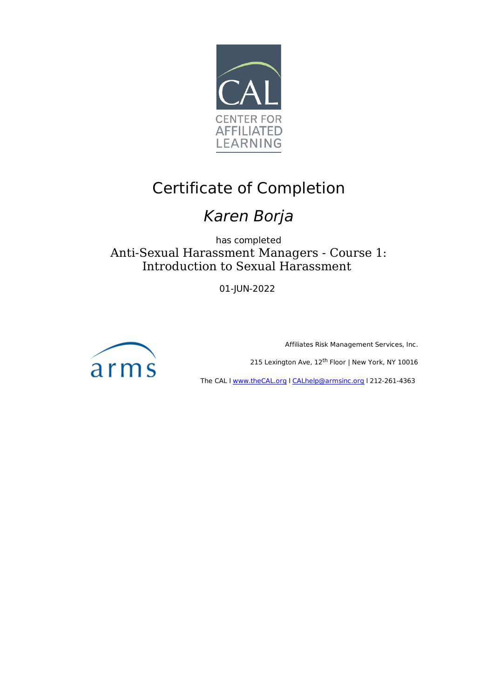

# Certificate of Completion

## Karen Borja

has completed Anti-Sexual Harassment Managers - Course 1: Introduction to Sexual Harassment

01-JUN-2022



Affiliates Risk Management Services, Inc.

215 Lexington Ave, 12<sup>th</sup> Floor | New York, NY 10016

The CAL I www.theCAL.org | CALhelp@armsinc.org | 212-261-4363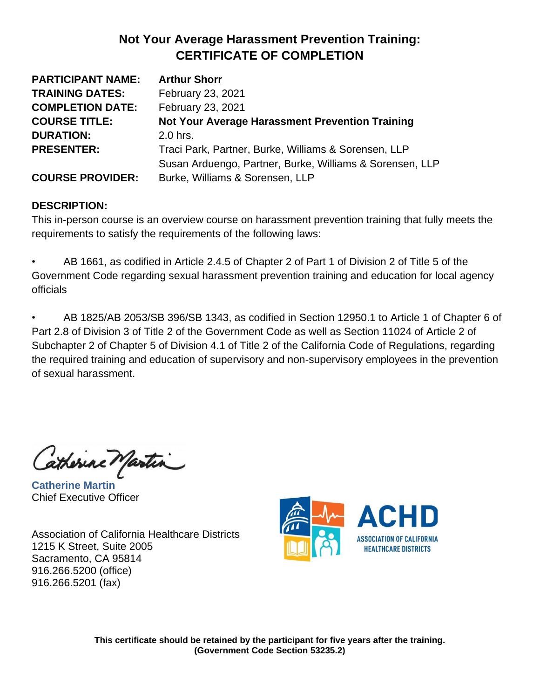| <b>PARTICIPANT NAME:</b> | <b>Arthur Shorr</b>                                      |
|--------------------------|----------------------------------------------------------|
| <b>TRAINING DATES:</b>   | February 23, 2021                                        |
| <b>COMPLETION DATE:</b>  | February 23, 2021                                        |
| <b>COURSE TITLE:</b>     | <b>Not Your Average Harassment Prevention Training</b>   |
| <b>DURATION:</b>         | 2.0 hrs.                                                 |
| <b>PRESENTER:</b>        | Traci Park, Partner, Burke, Williams & Sorensen, LLP     |
|                          | Susan Arduengo, Partner, Burke, Williams & Sorensen, LLP |
| <b>COURSE PROVIDER:</b>  | Burke, Williams & Sorensen, LLP                          |

#### **DESCRIPTION:**

This in-person course is an overview course on harassment prevention training that fully meets the requirements to satisfy the requirements of the following laws:

• AB 1661, as codified in Article 2.4.5 of Chapter 2 of Part 1 of Division 2 of Title 5 of the Government Code regarding sexual harassment prevention training and education for local agency officials

• AB 1825/AB 2053/SB 396/SB 1343, as codified in Section 12950.1 to Article 1 of Chapter 6 of Part 2.8 of Division 3 of Title 2 of the Government Code as well as Section 11024 of Article 2 of Subchapter 2 of Chapter 5 of Division 4.1 of Title 2 of the California Code of Regulations, regarding the required training and education of supervisory and non-supervisory employees in the prevention of sexual harassment.

atherine Martin

**Catherine Martin** Chief Executive Officer

Association of California Healthcare Districts 1215 K Street, Suite 2005 Sacramento, CA 95814 916.266.5200 (office) 916.266.5201 (fax)

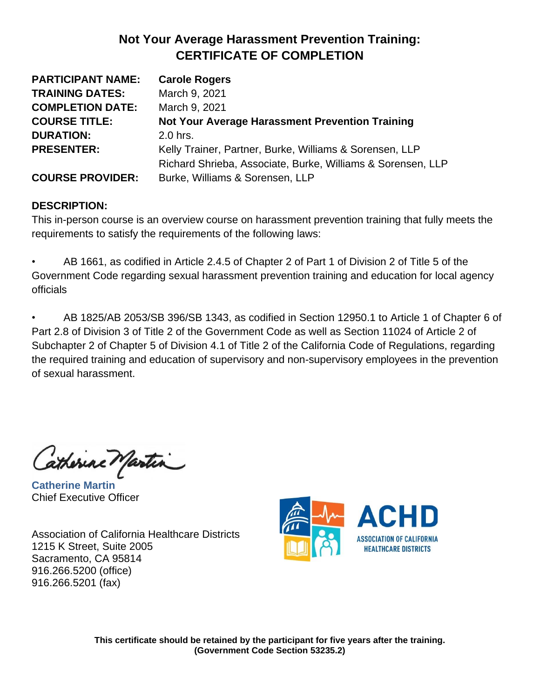| <b>PARTICIPANT NAME:</b> | <b>Carole Rogers</b>                                        |
|--------------------------|-------------------------------------------------------------|
| <b>TRAINING DATES:</b>   | March 9, 2021                                               |
| <b>COMPLETION DATE:</b>  | March 9, 2021                                               |
| <b>COURSE TITLE:</b>     | <b>Not Your Average Harassment Prevention Training</b>      |
| <b>DURATION:</b>         | 2.0 hrs.                                                    |
| <b>PRESENTER:</b>        | Kelly Trainer, Partner, Burke, Williams & Sorensen, LLP     |
|                          | Richard Shrieba, Associate, Burke, Williams & Sorensen, LLP |
| <b>COURSE PROVIDER:</b>  | Burke, Williams & Sorensen, LLP                             |

#### **DESCRIPTION:**

This in-person course is an overview course on harassment prevention training that fully meets the requirements to satisfy the requirements of the following laws:

• AB 1661, as codified in Article 2.4.5 of Chapter 2 of Part 1 of Division 2 of Title 5 of the Government Code regarding sexual harassment prevention training and education for local agency officials

• AB 1825/AB 2053/SB 396/SB 1343, as codified in Section 12950.1 to Article 1 of Chapter 6 of Part 2.8 of Division 3 of Title 2 of the Government Code as well as Section 11024 of Article 2 of Subchapter 2 of Chapter 5 of Division 4.1 of Title 2 of the California Code of Regulations, regarding the required training and education of supervisory and non-supervisory employees in the prevention of sexual harassment.

atherine Martin

**Catherine Martin** Chief Executive Officer

Association of California Healthcare Districts 1215 K Street, Suite 2005 Sacramento, CA 95814 916.266.5200 (office) 916.266.5201 (fax)

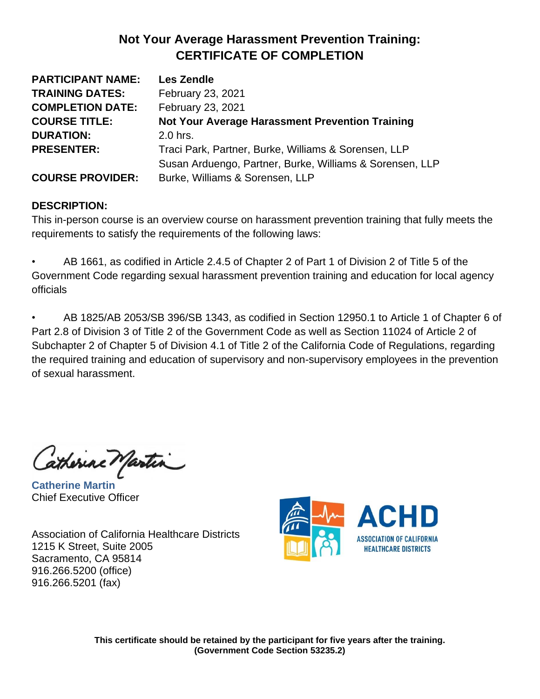| <b>PARTICIPANT NAME:</b> | <b>Les Zendle</b>                                        |
|--------------------------|----------------------------------------------------------|
| <b>TRAINING DATES:</b>   | February 23, 2021                                        |
| <b>COMPLETION DATE:</b>  | February 23, 2021                                        |
| <b>COURSE TITLE:</b>     | <b>Not Your Average Harassment Prevention Training</b>   |
| <b>DURATION:</b>         | 2.0 hrs.                                                 |
| <b>PRESENTER:</b>        | Traci Park, Partner, Burke, Williams & Sorensen, LLP     |
|                          | Susan Arduengo, Partner, Burke, Williams & Sorensen, LLP |
| <b>COURSE PROVIDER:</b>  | Burke, Williams & Sorensen, LLP                          |

#### **DESCRIPTION:**

This in-person course is an overview course on harassment prevention training that fully meets the requirements to satisfy the requirements of the following laws:

• AB 1661, as codified in Article 2.4.5 of Chapter 2 of Part 1 of Division 2 of Title 5 of the Government Code regarding sexual harassment prevention training and education for local agency officials

• AB 1825/AB 2053/SB 396/SB 1343, as codified in Section 12950.1 to Article 1 of Chapter 6 of Part 2.8 of Division 3 of Title 2 of the Government Code as well as Section 11024 of Article 2 of Subchapter 2 of Chapter 5 of Division 4.1 of Title 2 of the California Code of Regulations, regarding the required training and education of supervisory and non-supervisory employees in the prevention of sexual harassment.

atherine Martin

**Catherine Martin** Chief Executive Officer

Association of California Healthcare Districts 1215 K Street, Suite 2005 Sacramento, CA 95814 916.266.5200 (office) 916.266.5201 (fax)

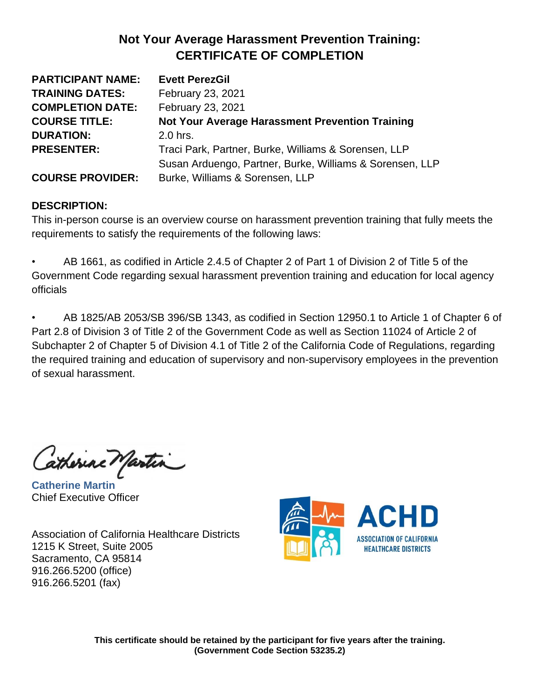| <b>PARTICIPANT NAME:</b> | <b>Evett PerezGil</b>                                    |
|--------------------------|----------------------------------------------------------|
| <b>TRAINING DATES:</b>   | February 23, 2021                                        |
| <b>COMPLETION DATE:</b>  | February 23, 2021                                        |
| <b>COURSE TITLE:</b>     | <b>Not Your Average Harassment Prevention Training</b>   |
| <b>DURATION:</b>         | 2.0 hrs.                                                 |
| <b>PRESENTER:</b>        | Traci Park, Partner, Burke, Williams & Sorensen, LLP     |
|                          | Susan Arduengo, Partner, Burke, Williams & Sorensen, LLP |
| <b>COURSE PROVIDER:</b>  | Burke, Williams & Sorensen, LLP                          |

#### **DESCRIPTION:**

This in-person course is an overview course on harassment prevention training that fully meets the requirements to satisfy the requirements of the following laws:

• AB 1661, as codified in Article 2.4.5 of Chapter 2 of Part 1 of Division 2 of Title 5 of the Government Code regarding sexual harassment prevention training and education for local agency officials

• AB 1825/AB 2053/SB 396/SB 1343, as codified in Section 12950.1 to Article 1 of Chapter 6 of Part 2.8 of Division 3 of Title 2 of the Government Code as well as Section 11024 of Article 2 of Subchapter 2 of Chapter 5 of Division 4.1 of Title 2 of the California Code of Regulations, regarding the required training and education of supervisory and non-supervisory employees in the prevention of sexual harassment.

atherine Martin

**Catherine Martin** Chief Executive Officer

Association of California Healthcare Districts 1215 K Street, Suite 2005 Sacramento, CA 95814 916.266.5200 (office) 916.266.5201 (fax)